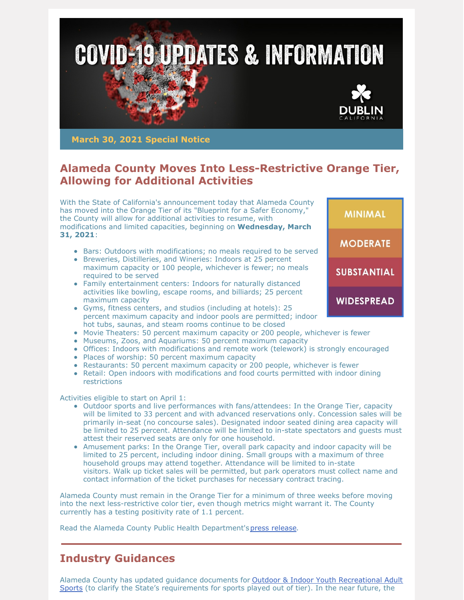

**March 30, 2021 Special Notice**

## **Alameda County Moves Into Less-Restrictive Orange Tier, Allowing for Additional Activities**

With the State of California's announcement today that Alameda County has moved into the Orange Tier of its "Blueprint for a Safer Economy," the County will allow for additional activities to resume, with modifications and limited capacities, beginning on **Wednesday, March 31, 2021**:

- Bars: Outdoors with modifications; no meals required to be served
- Breweries, Distilleries, and Wineries: Indoors at 25 percent maximum capacity or 100 people, whichever is fewer; no meals required to be served
- Family entertainment centers: Indoors for naturally distanced activities like bowling, escape rooms, and billiards; 25 percent maximum capacity
- Gyms, fitness centers, and studios (including at hotels): 25 percent maximum capacity and indoor pools are permitted; indoor hot tubs, saunas, and steam rooms continue to be closed
- Movie Theaters: 50 percent maximum capacity or 200 people, whichever is fewer
- Museums, Zoos, and Aquariums: 50 percent maximum capacity
- Offices: Indoors with modifications and remote work (telework) is strongly encouraged
- Places of worship: 50 percent maximum capacity
- Restaurants: 50 percent maximum capacity or 200 people, whichever is fewer
- Retail: Open indoors with modifications and food courts permitted with indoor dining **restrictions**

Activities eligible to start on April 1:

- Outdoor sports and live performances with fans/attendees: In the Orange Tier, capacity will be limited to 33 percent and with advanced reservations only. Concession sales will be primarily in-seat (no concourse sales). Designated indoor seated dining area capacity will be limited to 25 percent. Attendance will be limited to in-state spectators and guests must attest their reserved seats are only for one household.
- Amusement parks: In the Orange Tier, overall park capacity and indoor capacity will be limited to 25 percent, including indoor dining. Small groups with a maximum of three household groups may attend together. Attendance will be limited to in-state visitors. Walk up ticket sales will be permitted, but park operators must collect name and contact information of the ticket purchases for necessary contract tracing.

Alameda County must remain in the Orange Tier for a minimum of three weeks before moving into the next less-restrictive color tier, even though metrics might warrant it. The County currently has a testing positivity rate of 1.1 percent.

Read the Alameda County Public Health Department'spress [release](https://covid-19.acgov.org/covid19-assets/docs/press/press-release-2021.03.30.pdf).

#### **Industry Guidances**

Alameda County has updated guidance documents for Outdoor & Indoor Youth Recreational Adult Sports (to clarify the State's [requirements](https://covid-19.acgov.org/covid19-assets/docs/recovery/outdoor-youth-and-recreational-adult-sports-guidance-2021.03.04.pdf) for sports played out of tier). In the near future, the

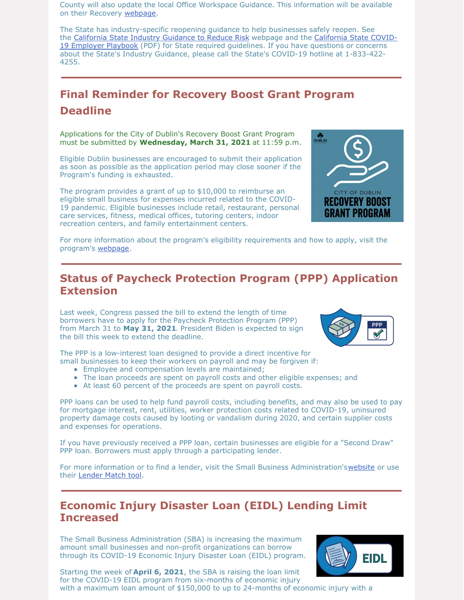County will also update the local Office Workspace Guidance. This information will be available on their Recovery [webpage](https://covid-19.acgov.org/recovery).

The State has industry-specific reopening guidance to help businesses safely reopen. See the [California](https://covid19.ca.gov/industry-guidance/) State Industry Guidance to Reduce Risk webpage and the California State COVID-19 Employer Playbook (PDF) for State required [guidelines.](https://files.covid19.ca.gov/pdf/employer-playbook-for-safe-reopening--en.pdf) If you have questions or concerns about the State's Industry Guidance, please call the State's COVID-19 hotline at 1-833-422- 4255.

# **Final Reminder for Recovery Boost Grant Program Deadline**

Applications for the City of Dublin's Recovery Boost Grant Program must be submitted by **Wednesday, March 31, 2021** at 11:59 p.m.

Eligible Dublin businesses are encouraged to submit their application as soon as possible as the application period may close sooner if the Program's funding is exhausted.

The program provides a grant of up to \$10,000 to reimburse an eligible small business for expenses incurred related to the COVID-19 pandemic. Eligible businesses include retail, restaurant, personal care services, fitness, medical offices, tutoring centers, indoor recreation centers, and family entertainment centers.



For more information about the program's eligibility requirements and how to apply, visit the program's [webpage](https://dublin.ca.gov/recoveryboostgrant).

#### **Status of Paycheck Protection Program (PPP) Application Extension**

Last week, Congress passed the bill to extend the length of time borrowers have to apply for the Paycheck Protection Program (PPP) from March 31 to **May 31, 2021**. President Biden is expected to sign the bill this week to extend the deadline.



The PPP is a low-interest loan designed to provide a direct incentive for small businesses to keep their workers on payroll and may be forgiven if:

- Employee and compensation levels are maintained;
- The loan proceeds are spent on payroll costs and other eligible expenses; and
- At least 60 percent of the proceeds are spent on payroll costs.

PPP loans can be used to help fund payroll costs, including benefits, and may also be used to pay for mortgage interest, rent, utilities, worker protection costs related to COVID-19, uninsured property damage costs caused by looting or vandalism during 2020, and certain supplier costs and expenses for operations.

If you have previously received a PPP loan, certain businesses are eligible for a "Second Draw" PPP loan. Borrowers must apply through a participating lender.

For more information or to find a lender, visit the Small Business Administration's[website](https://www.sba.gov/PaycheckProtection/find?address=94568&pageNumber=1) or use their [Lender](https://www.sba.gov/funding-programs/loans/lender-match) Match tool.

## **Economic Injury Disaster Loan (EIDL) Lending Limit Increased**

The Small Business Administration (SBA) is increasing the maximum amount small businesses and non-profit organizations can borrow through its COVID-19 Economic Injury Disaster Loan (EIDL) program.



Starting the week of **April 6, 2021**, the SBA is raising the loan limit for the COVID-19 EIDL program from six-months of economic injury with a maximum loan amount of \$150,000 to up to 24-months of economic injury with a